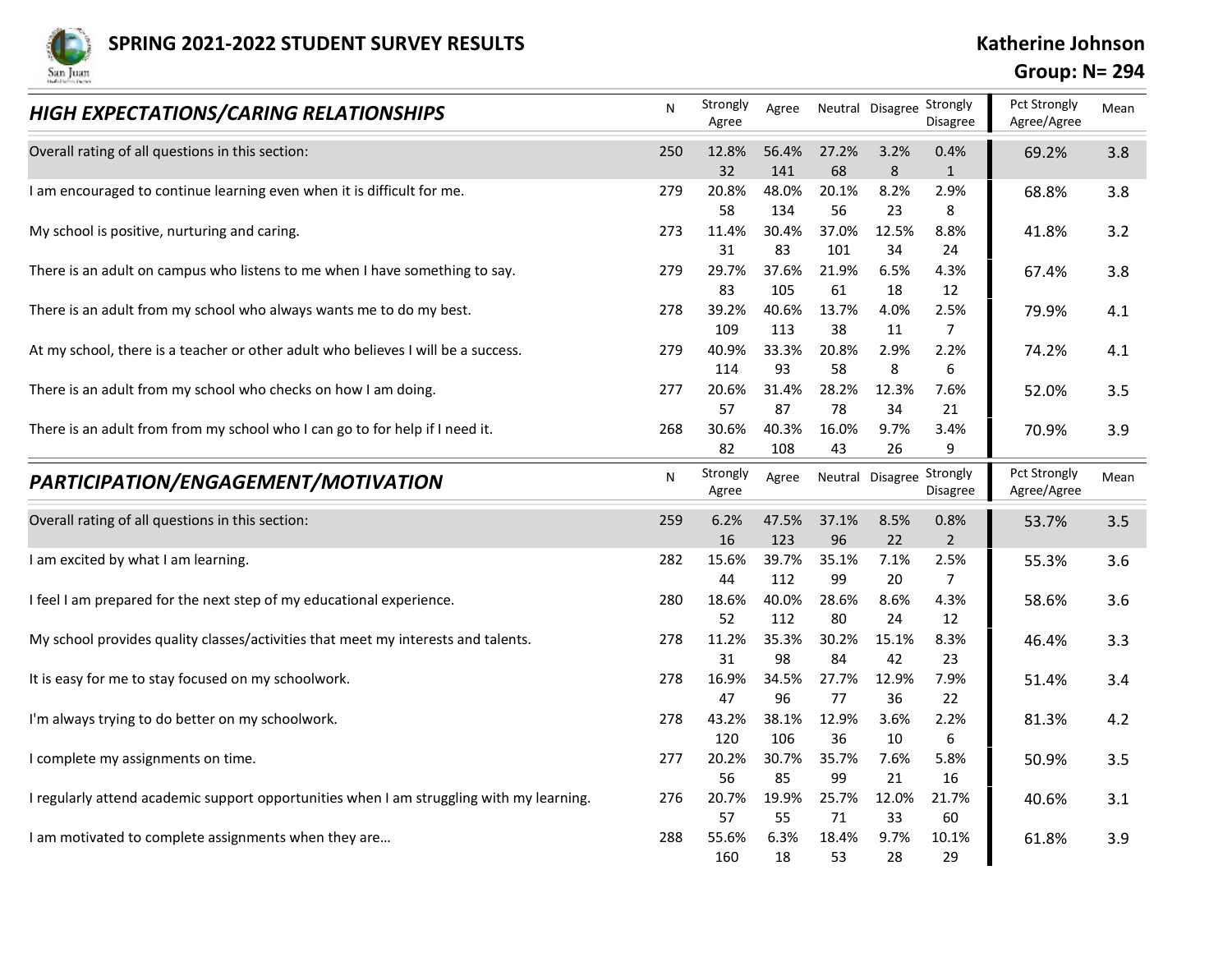

## Group: N= 294

| <b>SPRING 2021-2022 STUDENT SURVEY RESULTS</b>                                           |     |                   |              |              |             |                                             |                                                     |      |
|------------------------------------------------------------------------------------------|-----|-------------------|--------------|--------------|-------------|---------------------------------------------|-----------------------------------------------------|------|
| San Juan<br>HIGH EXPECTATIONS/CARING RELATIONSHIPS                                       | N   | Strongly<br>Agree |              |              |             | Agree Neutral Disagree Strongly<br>Disagree | <b>Group: N= 294</b><br>Pct Strongly<br>Agree/Agree | Mean |
| Overall rating of all questions in this section:                                         | 250 | 12.8%             | 56.4%        | 27.2%        | 3.2%        | 0.4%                                        | 69.2%                                               | 3.8  |
|                                                                                          |     | 32                | 141          | 68           | 8           | 1                                           |                                                     |      |
| I am encouraged to continue learning even when it is difficult for me.                   | 279 | 20.8%<br>58       | 48.0%<br>134 | 20.1%<br>56  | 8.2%<br>23  | 2.9%<br>8                                   | 68.8%                                               | 3.8  |
| My school is positive, nurturing and caring.                                             | 273 | 11.4%             | 30.4%        | 37.0%        | 12.5%       | 8.8%                                        | 41.8%                                               | 3.2  |
| There is an adult on campus who listens to me when I have something to say.              | 279 | 31<br>29.7%       | 83<br>37.6%  | 101<br>21.9% | 34<br>6.5%  | 24<br>4.3%                                  | 67.4%                                               | 3.8  |
|                                                                                          |     | 83                | 105          | 61           | 18          | 12                                          |                                                     |      |
| There is an adult from my school who always wants me to do my best.                      | 278 | 39.2%<br>109      | 40.6%<br>113 | 13.7%<br>38  | 4.0%<br>11  | 2.5%<br>$\overline{7}$                      | 79.9%                                               | 4.1  |
| At my school, there is a teacher or other adult who believes I will be a success.        | 279 | 40.9%             | 33.3%        | 20.8%        | 2.9%        | 2.2%                                        | 74.2%                                               | 4.1  |
| There is an adult from my school who checks on how I am doing.                           | 277 | 114<br>20.6%      | 93<br>31.4%  | 58<br>28.2%  | 8<br>12.3%  | 6<br>7.6%                                   | 52.0%                                               | 3.5  |
|                                                                                          |     | 57                | 87           | 78           | 34          | 21                                          |                                                     |      |
| There is an adult from from my school who I can go to for help if I need it.             | 268 | 30.6%             | 40.3%        | 16.0%        | 9.7%        | 3.4%                                        | 70.9%                                               | 3.9  |
|                                                                                          | N   | 82<br>Strongly    | 108          | 43           | 26          | 9<br>Neutral Disagree Strongly              | Pct Strongly                                        | Mean |
| PARTICIPATION/ENGAGEMENT/MOTIVATION                                                      |     | Agree             | Agree        |              |             | Disagree                                    | Agree/Agree                                         |      |
| Overall rating of all questions in this section:                                         | 259 | 6.2%              | 47.5%        | 37.1%        | 8.5%        | 0.8%                                        | 53.7%                                               | 3.5  |
| I am excited by what I am learning.                                                      | 282 | 16<br>15.6%       | 123<br>39.7% | 96<br>35.1%  | 22<br>7.1%  | $\overline{2}$<br>2.5%                      | 55.3%                                               | 3.6  |
|                                                                                          |     | 44                | 112          | 99           | 20          | 7                                           |                                                     |      |
| I feel I am prepared for the next step of my educational experience.                     | 280 | 18.6%<br>52       | 40.0%<br>112 | 28.6%<br>80  | 8.6%<br>24  | 4.3%<br>12                                  | 58.6%                                               | 3.6  |
| My school provides quality classes/activities that meet my interests and talents.        | 278 | 11.2%             | 35.3%        | 30.2%        | 15.1%       | 8.3%                                        | 46.4%                                               | 3.3  |
| It is easy for me to stay focused on my schoolwork.                                      | 278 | 31<br>16.9%       | 98<br>34.5%  | 84<br>27.7%  | 42<br>12.9% | 23<br>7.9%                                  |                                                     | 3.4  |
|                                                                                          |     | 47                | 96           | 77           | 36          | 22                                          | 51.4%                                               |      |
| I'm always trying to do better on my schoolwork.                                         | 278 | 43.2%             | 38.1%        | 12.9%        | 3.6%        | 2.2%                                        | 81.3%                                               | 4.2  |
| I complete my assignments on time.                                                       | 277 | 120<br>20.2%      | 106<br>30.7% | 36<br>35.7%  | 10<br>7.6%  | 6<br>5.8%                                   | 50.9%                                               | 3.5  |
|                                                                                          |     | 56                | 85           | 99           | 21          | 16                                          |                                                     |      |
| I regularly attend academic support opportunities when I am struggling with my learning. | 276 | 20.7%<br>57       | 19.9%<br>55  | 25.7%<br>71  | 12.0%<br>33 | 21.7%<br>60                                 | 40.6%                                               | 3.1  |
| I am motivated to complete assignments when they are                                     | 288 | 55.6%             | 6.3%         | 18.4%        | 9.7%        | 10.1%                                       | 61.8%                                               | 3.9  |
|                                                                                          |     | 160               | 18           | 53           | 28          | 29                                          |                                                     |      |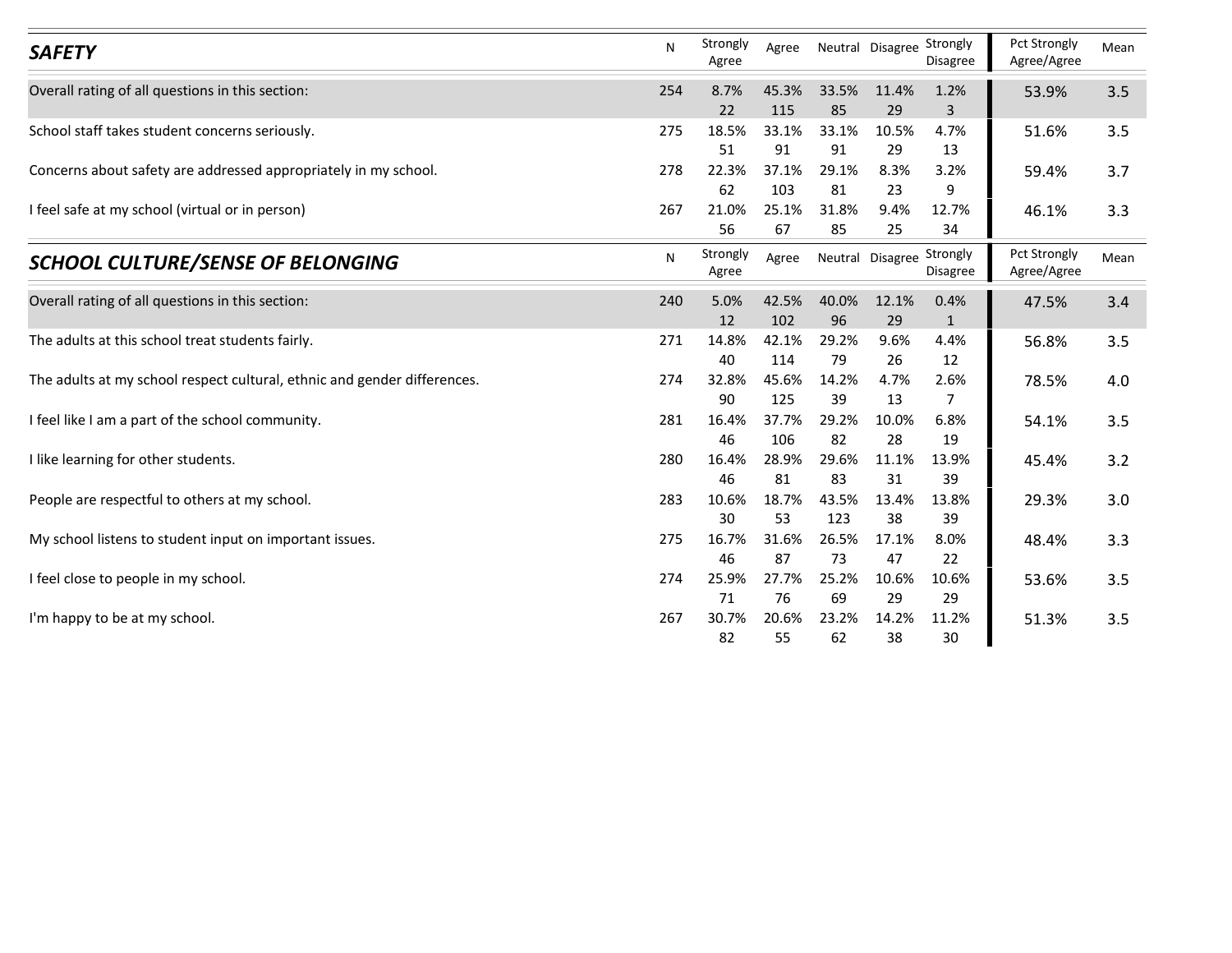|                                                                          | N   | Strongly          |              | Neutral Disagree Strongly |             |                | Pct Strongly                |      |
|--------------------------------------------------------------------------|-----|-------------------|--------------|---------------------------|-------------|----------------|-----------------------------|------|
| <b>SAFETY</b>                                                            |     | Agree             | Agree        |                           |             | Disagree       | Agree/Agree                 | Mean |
| Overall rating of all questions in this section:                         | 254 | 8.7%              | 45.3%        | 33.5%                     | 11.4%       | 1.2%           | 53.9%                       | 3.5  |
|                                                                          |     | 22                | 115          | 85                        | 29          | $\overline{3}$ |                             |      |
| School staff takes student concerns seriously.                           | 275 | 18.5%<br>51       | 33.1%<br>91  | 33.1%<br>91               | 10.5%<br>29 | 4.7%<br>13     | 51.6%                       | 3.5  |
| Concerns about safety are addressed appropriately in my school.          | 278 | 22.3%             | 37.1%        | 29.1%                     | 8.3%        | 3.2%           | 59.4%                       | 3.7  |
|                                                                          |     | 62                | 103          | 81                        | 23          | 9              |                             |      |
| I feel safe at my school (virtual or in person)                          | 267 | 21.0%             | 25.1%        | 31.8%                     | 9.4%        | 12.7%          | 46.1%                       | 3.3  |
|                                                                          |     | 56                | 67           | 85                        | 25          | 34             |                             |      |
| <b>SCHOOL CULTURE/SENSE OF BELONGING</b>                                 | N   | Strongly<br>Agree | Agree        | Neutral Disagree Strongly |             | Disagree       | Pct Strongly<br>Agree/Agree | Mean |
| Overall rating of all questions in this section:                         | 240 | 5.0%              | 42.5%        | 40.0%                     | 12.1%       | 0.4%           | 47.5%                       | 3.4  |
| The adults at this school treat students fairly.                         | 271 | 12<br>14.8%       | 102<br>42.1% | 96<br>29.2%               | 29<br>9.6%  | 1<br>4.4%      | 56.8%                       | 3.5  |
|                                                                          |     | 40                | 114          | 79                        | 26          | 12             |                             |      |
| The adults at my school respect cultural, ethnic and gender differences. | 274 | 32.8%             | 45.6%        | 14.2%                     | 4.7%        | 2.6%           | 78.5%                       | 4.0  |
| I feel like I am a part of the school community.                         |     | 90                | 125<br>37.7% | 39                        | 13          | $\overline{7}$ |                             |      |
|                                                                          | 281 | 16.4%<br>46       | 106          | 29.2%<br>82               | 10.0%<br>28 | 6.8%<br>19     | 54.1%                       | 3.5  |
| I like learning for other students.                                      | 280 | 16.4%             | 28.9%        | 29.6%                     | 11.1%       | 13.9%          | 45.4%                       | 3.2  |
|                                                                          |     | 46                | 81           | 83                        | 31          | 39             |                             |      |
| People are respectful to others at my school.                            | 283 | 10.6%<br>30       | 18.7%<br>53  | 43.5%<br>123              | 13.4%<br>38 | 13.8%<br>39    | 29.3%                       | 3.0  |
| My school listens to student input on important issues.                  | 275 | 16.7%             | 31.6%        | 26.5%                     | 17.1%       | 8.0%           | 48.4%                       | 3.3  |
|                                                                          |     | 46                | 87           | 73                        | 47          | 22             |                             |      |
| I feel close to people in my school.                                     | 274 | 25.9%             | 27.7%        | 25.2%                     | 10.6%       | 10.6%          | 53.6%                       | 3.5  |
|                                                                          |     | 71                | 76           | 69                        | 29          | 29             | 51.3%                       | 3.5  |
| I'm happy to be at my school.                                            | 267 | 30.7%             | 20.6%        | 23.2%                     | 14.2%       | 11.2%          |                             |      |